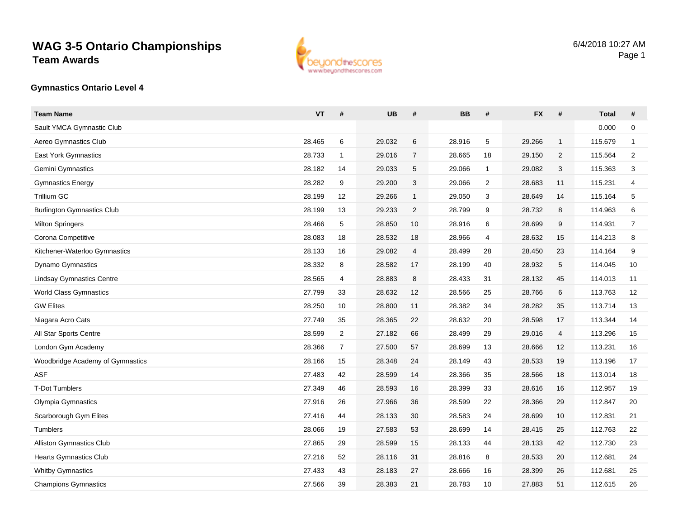

#### **Gymnastics Ontario Level 4**

| <b>Team Name</b>                  | <b>VT</b> | #              | <b>UB</b> | #              | <b>BB</b> | #              | <b>FX</b> | #            | <b>Total</b> | #              |
|-----------------------------------|-----------|----------------|-----------|----------------|-----------|----------------|-----------|--------------|--------------|----------------|
| Sault YMCA Gymnastic Club         |           |                |           |                |           |                |           |              | 0.000        | 0              |
| Aereo Gymnastics Club             | 28.465    | 6              | 29.032    | 6              | 28.916    | 5              | 29.266    | $\mathbf{1}$ | 115.679      | $\mathbf{1}$   |
| <b>East York Gymnastics</b>       | 28.733    | $\mathbf{1}$   | 29.016    | $\overline{7}$ | 28.665    | 18             | 29.150    | 2            | 115.564      | $\overline{2}$ |
| Gemini Gymnastics                 | 28.182    | 14             | 29.033    | 5              | 29.066    | $\mathbf{1}$   | 29.082    | 3            | 115.363      | 3              |
| Gymnastics Energy                 | 28.282    | 9              | 29.200    | 3              | 29.066    | $\overline{2}$ | 28.683    | 11           | 115.231      | 4              |
| Trillium GC                       | 28.199    | 12             | 29.266    | $\mathbf{1}$   | 29.050    | 3              | 28.649    | 14           | 115.164      | 5              |
| <b>Burlington Gymnastics Club</b> | 28.199    | 13             | 29.233    | $\overline{2}$ | 28.799    | 9              | 28.732    | 8            | 114.963      | 6              |
| <b>Milton Springers</b>           | 28.466    | 5              | 28.850    | 10             | 28.916    | 6              | 28.699    | 9            | 114.931      | $\overline{7}$ |
| Corona Competitive                | 28.083    | 18             | 28.532    | 18             | 28.966    | 4              | 28.632    | 15           | 114.213      | 8              |
| Kitchener-Waterloo Gymnastics     | 28.133    | 16             | 29.082    | 4              | 28.499    | 28             | 28.450    | 23           | 114.164      | 9              |
| Dynamo Gymnastics                 | 28.332    | 8              | 28.582    | 17             | 28.199    | 40             | 28.932    | 5            | 114.045      | 10             |
| <b>Lindsay Gymnastics Centre</b>  | 28.565    | 4              | 28.883    | 8              | 28.433    | 31             | 28.132    | 45           | 114.013      | 11             |
| <b>World Class Gymnastics</b>     | 27.799    | 33             | 28.632    | 12             | 28.566    | 25             | 28.766    | 6            | 113.763      | 12             |
| <b>GW Elites</b>                  | 28.250    | 10             | 28.800    | 11             | 28.382    | 34             | 28.282    | 35           | 113.714      | 13             |
| Niagara Acro Cats                 | 27.749    | 35             | 28.365    | 22             | 28.632    | 20             | 28.598    | 17           | 113.344      | 14             |
| All Star Sports Centre            | 28.599    | $\overline{c}$ | 27.182    | 66             | 28.499    | 29             | 29.016    | 4            | 113.296      | 15             |
| London Gym Academy                | 28.366    | $\overline{7}$ | 27.500    | 57             | 28.699    | 13             | 28.666    | 12           | 113.231      | 16             |
| Woodbridge Academy of Gymnastics  | 28.166    | 15             | 28.348    | 24             | 28.149    | 43             | 28.533    | 19           | 113.196      | 17             |
| <b>ASF</b>                        | 27.483    | 42             | 28.599    | 14             | 28.366    | 35             | 28.566    | 18           | 113.014      | 18             |
| <b>T-Dot Tumblers</b>             | 27.349    | 46             | 28.593    | 16             | 28.399    | 33             | 28.616    | 16           | 112.957      | 19             |
| Olympia Gymnastics                | 27.916    | 26             | 27.966    | 36             | 28.599    | 22             | 28.366    | 29           | 112.847      | 20             |
| Scarborough Gym Elites            | 27.416    | 44             | 28.133    | 30             | 28.583    | 24             | 28.699    | 10           | 112.831      | 21             |
| Tumblers                          | 28.066    | 19             | 27.583    | 53             | 28.699    | 14             | 28.415    | 25           | 112.763      | 22             |
| <b>Alliston Gymnastics Club</b>   | 27.865    | 29             | 28.599    | 15             | 28.133    | 44             | 28.133    | 42           | 112.730      | 23             |
| <b>Hearts Gymnastics Club</b>     | 27.216    | 52             | 28.116    | 31             | 28.816    | 8              | 28.533    | 20           | 112.681      | 24             |
| <b>Whitby Gymnastics</b>          | 27.433    | 43             | 28.183    | 27             | 28.666    | 16             | 28.399    | 26           | 112.681      | 25             |
| <b>Champions Gymnastics</b>       | 27.566    | 39             | 28.383    | 21             | 28.783    | 10             | 27.883    | 51           | 112.615      | 26             |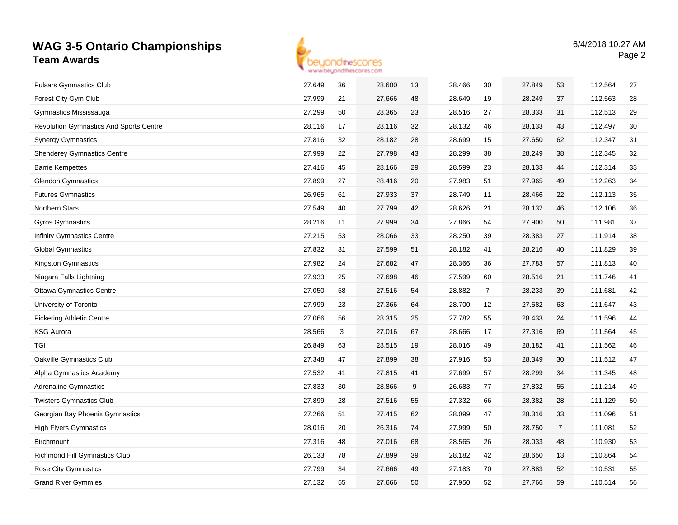

| <b>Pulsars Gymnastics Club</b>                 | 27.649 | 36 | 28.600 | 13 | 28.466 | 30             | 27.849 | 53             | 112.564 | 27 |
|------------------------------------------------|--------|----|--------|----|--------|----------------|--------|----------------|---------|----|
| Forest City Gym Club                           | 27.999 | 21 | 27.666 | 48 | 28.649 | 19             | 28.249 | 37             | 112.563 | 28 |
| Gymnastics Mississauga                         | 27.299 | 50 | 28.365 | 23 | 28.516 | 27             | 28.333 | 31             | 112.513 | 29 |
| <b>Revolution Gymnastics And Sports Centre</b> | 28.116 | 17 | 28.116 | 32 | 28.132 | 46             | 28.133 | 43             | 112.497 | 30 |
| <b>Synergy Gymnastics</b>                      | 27.816 | 32 | 28.182 | 28 | 28.699 | 15             | 27.650 | 62             | 112.347 | 31 |
| <b>Shenderey Gymnastics Centre</b>             | 27.999 | 22 | 27.798 | 43 | 28.299 | 38             | 28.249 | 38             | 112.345 | 32 |
| <b>Barrie Kempettes</b>                        | 27.416 | 45 | 28.166 | 29 | 28.599 | 23             | 28.133 | 44             | 112.314 | 33 |
| <b>Glendon Gymnastics</b>                      | 27.899 | 27 | 28.416 | 20 | 27.983 | 51             | 27.965 | 49             | 112.263 | 34 |
| <b>Futures Gymnastics</b>                      | 26.965 | 61 | 27.933 | 37 | 28.749 | 11             | 28.466 | 22             | 112.113 | 35 |
| Northern Stars                                 | 27.549 | 40 | 27.799 | 42 | 28.626 | 21             | 28.132 | 46             | 112.106 | 36 |
| <b>Gyros Gymnastics</b>                        | 28.216 | 11 | 27.999 | 34 | 27.866 | 54             | 27.900 | 50             | 111.981 | 37 |
| <b>Infinity Gymnastics Centre</b>              | 27.215 | 53 | 28.066 | 33 | 28.250 | 39             | 28.383 | 27             | 111.914 | 38 |
| <b>Global Gymnastics</b>                       | 27.832 | 31 | 27.599 | 51 | 28.182 | 41             | 28.216 | 40             | 111.829 | 39 |
| Kingston Gymnastics                            | 27.982 | 24 | 27.682 | 47 | 28.366 | 36             | 27.783 | 57             | 111.813 | 40 |
| Niagara Falls Lightning                        | 27.933 | 25 | 27.698 | 46 | 27.599 | 60             | 28.516 | 21             | 111.746 | 41 |
| <b>Ottawa Gymnastics Centre</b>                | 27.050 | 58 | 27.516 | 54 | 28.882 | $\overline{7}$ | 28.233 | 39             | 111.681 | 42 |
| University of Toronto                          | 27.999 | 23 | 27.366 | 64 | 28.700 | 12             | 27.582 | 63             | 111.647 | 43 |
| <b>Pickering Athletic Centre</b>               | 27.066 | 56 | 28.315 | 25 | 27.782 | 55             | 28.433 | 24             | 111.596 | 44 |
| <b>KSG Aurora</b>                              | 28.566 | 3  | 27.016 | 67 | 28.666 | 17             | 27.316 | 69             | 111.564 | 45 |
| TGI                                            | 26.849 | 63 | 28.515 | 19 | 28.016 | 49             | 28.182 | 41             | 111.562 | 46 |
| Oakville Gymnastics Club                       | 27.348 | 47 | 27.899 | 38 | 27.916 | 53             | 28.349 | 30             | 111.512 | 47 |
| Alpha Gymnastics Academy                       | 27.532 | 41 | 27.815 | 41 | 27.699 | 57             | 28.299 | 34             | 111.345 | 48 |
| <b>Adrenaline Gymnastics</b>                   | 27.833 | 30 | 28.866 | 9  | 26.683 | 77             | 27.832 | 55             | 111.214 | 49 |
| <b>Twisters Gymnastics Club</b>                | 27.899 | 28 | 27.516 | 55 | 27.332 | 66             | 28.382 | 28             | 111.129 | 50 |
| Georgian Bay Phoenix Gymnastics                | 27.266 | 51 | 27.415 | 62 | 28.099 | 47             | 28.316 | 33             | 111.096 | 51 |
| <b>High Flyers Gymnastics</b>                  | 28.016 | 20 | 26.316 | 74 | 27.999 | 50             | 28.750 | $\overline{7}$ | 111.081 | 52 |
| <b>Birchmount</b>                              | 27.316 | 48 | 27.016 | 68 | 28.565 | 26             | 28.033 | 48             | 110.930 | 53 |
| Richmond Hill Gymnastics Club                  | 26.133 | 78 | 27.899 | 39 | 28.182 | 42             | 28.650 | 13             | 110.864 | 54 |
| Rose City Gymnastics                           | 27.799 | 34 | 27.666 | 49 | 27.183 | 70             | 27.883 | 52             | 110.531 | 55 |
| <b>Grand River Gymmies</b>                     | 27.132 | 55 | 27.666 | 50 | 27.950 | 52             | 27.766 | 59             | 110.514 | 56 |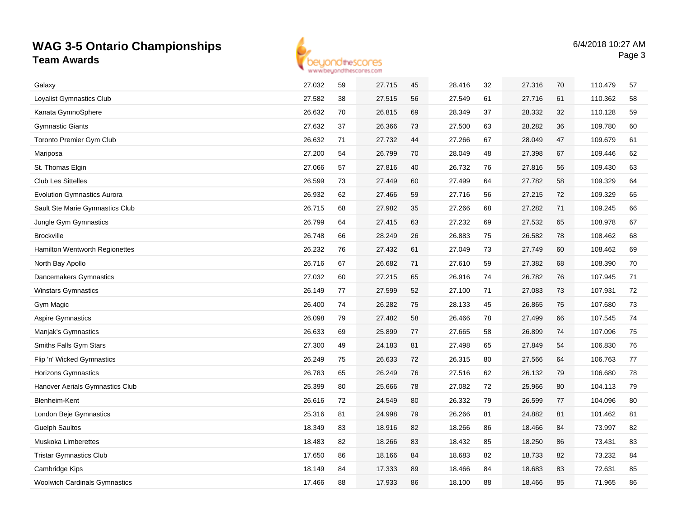

| Galaxy                             | 27.032 | 59 | 27.715 | 45 | 28.416 | 32 | 27.316 | 70 | 110.479 | 57 |
|------------------------------------|--------|----|--------|----|--------|----|--------|----|---------|----|
| Loyalist Gymnastics Club           | 27.582 | 38 | 27.515 | 56 | 27.549 | 61 | 27.716 | 61 | 110.362 | 58 |
| Kanata GymnoSphere                 | 26.632 | 70 | 26.815 | 69 | 28.349 | 37 | 28.332 | 32 | 110.128 | 59 |
| <b>Gymnastic Giants</b>            | 27.632 | 37 | 26.366 | 73 | 27.500 | 63 | 28.282 | 36 | 109.780 | 60 |
| <b>Toronto Premier Gym Club</b>    | 26.632 | 71 | 27.732 | 44 | 27.266 | 67 | 28.049 | 47 | 109.679 | 61 |
| Mariposa                           | 27.200 | 54 | 26.799 | 70 | 28.049 | 48 | 27.398 | 67 | 109.446 | 62 |
| St. Thomas Elgin                   | 27.066 | 57 | 27.816 | 40 | 26.732 | 76 | 27.816 | 56 | 109.430 | 63 |
| <b>Club Les Sittelles</b>          | 26.599 | 73 | 27.449 | 60 | 27.499 | 64 | 27.782 | 58 | 109.329 | 64 |
| <b>Evolution Gymnastics Aurora</b> | 26.932 | 62 | 27.466 | 59 | 27.716 | 56 | 27.215 | 72 | 109.329 | 65 |
| Sault Ste Marie Gymnastics Club    | 26.715 | 68 | 27.982 | 35 | 27.266 | 68 | 27.282 | 71 | 109.245 | 66 |
| Jungle Gym Gymnastics              | 26.799 | 64 | 27.415 | 63 | 27.232 | 69 | 27.532 | 65 | 108.978 | 67 |
| <b>Brockville</b>                  | 26.748 | 66 | 28.249 | 26 | 26.883 | 75 | 26.582 | 78 | 108.462 | 68 |
| Hamilton Wentworth Regionettes     | 26.232 | 76 | 27.432 | 61 | 27.049 | 73 | 27.749 | 60 | 108.462 | 69 |
| North Bay Apollo                   | 26.716 | 67 | 26.682 | 71 | 27.610 | 59 | 27.382 | 68 | 108.390 | 70 |
| Dancemakers Gymnastics             | 27.032 | 60 | 27.215 | 65 | 26.916 | 74 | 26.782 | 76 | 107.945 | 71 |
| <b>Winstars Gymnastics</b>         | 26.149 | 77 | 27.599 | 52 | 27.100 | 71 | 27.083 | 73 | 107.931 | 72 |
| Gym Magic                          | 26.400 | 74 | 26.282 | 75 | 28.133 | 45 | 26.865 | 75 | 107.680 | 73 |
| <b>Aspire Gymnastics</b>           | 26.098 | 79 | 27.482 | 58 | 26.466 | 78 | 27.499 | 66 | 107.545 | 74 |
| Manjak's Gymnastics                | 26.633 | 69 | 25.899 | 77 | 27.665 | 58 | 26.899 | 74 | 107.096 | 75 |
| Smiths Falls Gym Stars             | 27.300 | 49 | 24.183 | 81 | 27.498 | 65 | 27.849 | 54 | 106.830 | 76 |
| Flip 'n' Wicked Gymnastics         | 26.249 | 75 | 26.633 | 72 | 26.315 | 80 | 27.566 | 64 | 106.763 | 77 |
| Horizons Gymnastics                | 26.783 | 65 | 26.249 | 76 | 27.516 | 62 | 26.132 | 79 | 106.680 | 78 |
| Hanover Aerials Gymnastics Club    | 25.399 | 80 | 25.666 | 78 | 27.082 | 72 | 25.966 | 80 | 104.113 | 79 |
| Blenheim-Kent                      | 26.616 | 72 | 24.549 | 80 | 26.332 | 79 | 26.599 | 77 | 104.096 | 80 |
| London Beje Gymnastics             | 25.316 | 81 | 24.998 | 79 | 26.266 | 81 | 24.882 | 81 | 101.462 | 81 |
| <b>Guelph Saultos</b>              | 18.349 | 83 | 18.916 | 82 | 18.266 | 86 | 18.466 | 84 | 73.997  | 82 |
| <b>Muskoka Limberettes</b>         | 18.483 | 82 | 18.266 | 83 | 18.432 | 85 | 18.250 | 86 | 73.431  | 83 |
| <b>Tristar Gymnastics Club</b>     |        |    |        |    | 18.683 |    | 18.733 |    | 73.232  | 84 |
|                                    | 17.650 | 86 | 18.166 | 84 |        | 82 |        | 82 |         |    |
| Cambridge Kips                     | 18.149 | 84 | 17.333 | 89 | 18.466 | 84 | 18.683 | 83 | 72.631  | 85 |